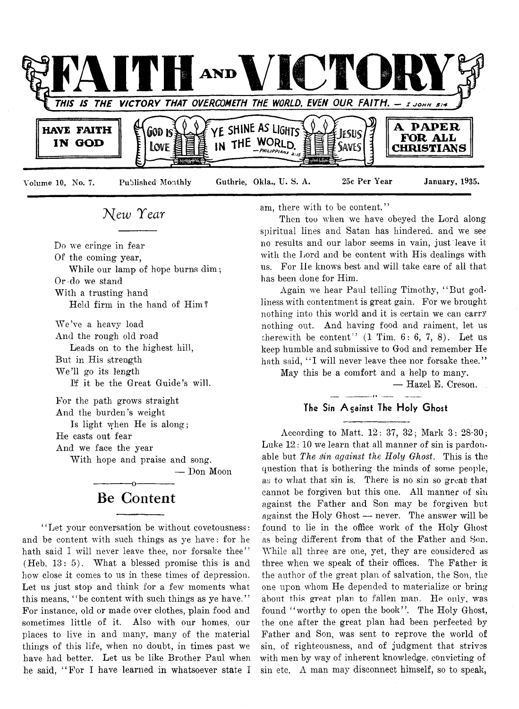

## *T^ew Tear*

Do we cringe in fear

Of the coming year,

While our lamp of hope burns dim ; Or do we stand With a trusting hand

Held firm in the hand of Him?

We've a heavy load And the rough old road Leads on to the highest hill, But in His strength We'll go its length If it be the Great Guide's will.

For the path grows straight And the burden's weight Is light when He is along; He casts out fear And we face the year With hope and praise and song.

— Don Moon

## ------------- o------------- **Be Content**

' ' Let your conversation be without covetousness: and be content with such things as ye have: for he hath said I will never leave thee, nor forsake thee" (Heb. 13: 5). What a blessed promise this is and how close it comes to us in these times of depression. Let us just stop and think for a few moments what this means, "be content with such things as ye have." For instance, old or made over clothes, plain food and sometimes little of it. Also with our homes, our places to live in and many, many of the material things of this life, when no doubt, in times past we have had better. Let us be like Brother Paul when he said, " For I have learned in whatsoever state I am, there with to be content."

Then too when we have obeyed the Lord along spiritual lines and Satan has hindered, and we see no results and our labor seems in vain, just leave it with the Lord and be content with His dealings with us. For He knows best and will take care of all that has been done for Him.

Again we hear Paul telling Timothy, " But godliness with contentment is great gain. For we brought nothing into this world and it is certain we can carry nothing out. And having food and raiment, let us therewith be content"  $(1 \text{ Tim. } 6: 6, 7, 8)$ . Let us keep humble and submissive to God and remember He hath said, "I will never leave thee nor forsake thee."

May this be a comfort and a help to many.

— Hazel E. Creson.

#### $-1$   $(1 - 1)$ **The Sin Against The Holy Ghost**

According to Matt. 12: 37, 32; Mark 3: 28-30; Luke 12:10 we learn that all manner of sin is pardouable but *The sin against the Holy Ghost.* This is the question that is bothering the minds of some people, as to what that sin is. There is no sin so great that cannot be forgiven but this one. All manner of sin against the Father and Son may be forgiven but against the Holy Ghost — never. The answer will be found to lie in the office work of the Holy Ghost as being different from that of the Father and Son. While all three are one, yet, they are considered as three when we speak of their offices. The Father is the author of the great plan of salvation, the Son, the one upon whom He depended to materialize or bring about this great plan to fallen man. He only, was found "worthy to open the book". The Holy Ghost, the one after the great plan had been perfected by Father and Son, was sent to reprove the world of sin, of righteousness, and of judgment that strives with men by way of inherent knowledge, convicting of sin etc. A man may disconnect himself, so to speak,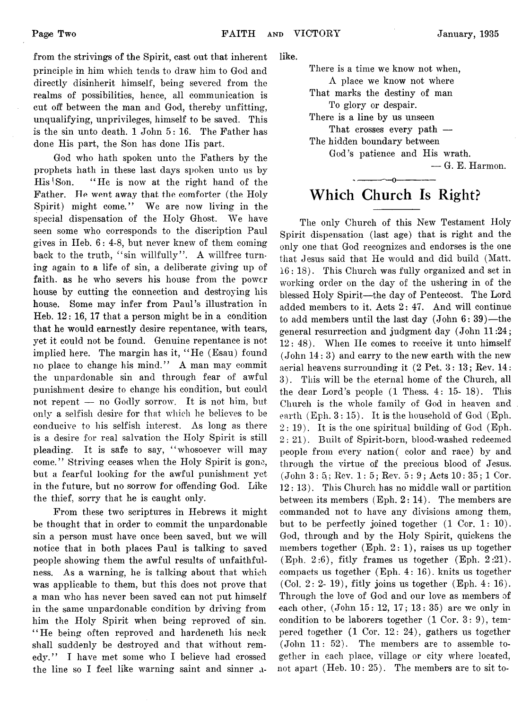from the strivings of the Spirit, cast out that inherent principle in him which tends to draw him to God and directly disinherit himself, being severed from the realms of possibilities, hence, all communication is cut off between the man and God, thereby unfitting, unqualifying, unprivileges, himself to be saved. This is the sin unto death. 1 John 5: 16. The Father has done His part, the Son has done His part.

God who hath spoken unto the Fathers by the prophets hath in these last days spoken unto us by His'Son. 4' He is now at the right hand of the Father. He went away that the comforter (the Holy Spirit) might come." We are now living in the special dispensation of the Holy Ghost. We have seen some who corresponds to the discription Paul gives in IIeb. 6: 4-8, but never knew of them coming back to the truth, "sin willfully". A willfree turning again to a life of sin, a deliberate giving up of faith, as he who severs his house from the power house by cutting the connection and destroying his house. Some may infer from Paul's illustration in Heb. 12: 16, 17 that a person might be in a condition that he would earnestly desire repentance, with tears, yet it could not be found. Genuine repentance is not implied here. The margin has it, " He (Esau) found no place to change his mind." A man may commit the unpardonable sin and through fear of awful punishment desire to change his condition, but could not repent — no Godly sorrow. It is not him, but only a selfish desire for that which he believes to be conducive to his selfish interest. As long as there is a desire for real salvation the Holy Spirit is still pleading. It is safe to say, "whosoever will may come." Striving ceases when the Holy Spirit is gone, but a fearful looking for the awful punishment yet in the future, but no sorrow for offending God. Like the thief, sorry that he is caught only.

From these two scriptures in Hebrews it might be thought that in order to commit the unpardonable sin a person must have once been saved, but we will notice that in both places Paul is talking to saved people showing them the awful results of unfaithfulness. As a warning, he is talking about that which was applicable to them, but this does not prove that a man who has never been saved can not put himself in the same unpardonable condition by driving from him the Holy Spirit when being reproved of sin. "He being often reproved and hardeneth his neck shall suddenly be destroyed and that without remedy." I have met some who I believe had crossed the line so I feel like warning saint and sinner alike.

There is a time we know not when,

A place we know not where

That marks the destiny of man To glory or despair.

There is a line by us unseen

That crosses every path — The hidden boundary between

God's patience and His wrath.

— G. E. Harmon.

## ------------- o------------- **Which Church Is Right?**

The only Church of this New Testament Holy Spirit dispensation (last age) that is right and the only one that God recognizes and endorses is the one that Jesus said that He would and did build (Matt. 16 : 18). This Church was fully organized and set in working order on the day of the ushering in of the blessed Holy Spirit—the day of Pentecost. The Lord added members to it. Acts 2: 47. And will continue to add members until the last day (John 6: 39)—the general resurrection and judgment day (John 11:24; 12: 48). When He comes to receive it unto himself (John 14: 3) and carry to the new earth with the new aerial heavens surrounding it (2 Pet. 3: 13; Rev. 14: 3). This will be the eternal home of the Church, all the dear Lord's people (1 Thess. 4: 15- 18). This Church is the whole family of God in heaven and earth  $(Eph. 3: 15)$ . It is the household of God (Eph.  $2: 19$ ). It is the one spiritual building of God (Eph. 2: 21). Built of Spirit-born, blood-washed redeemed people from every nation( color and race) by and through the virtue of the precious blood of Jesus.  $(John 3: 5; Rev. 1: 5; Rev. 5: 9; Acts 10: 35; 1 Cor.$ 12 : 13). This Church has no middle wall or partition between its members  $(Eph. 2: 14)$ . The members are commanded not to have any divisions among them, but to be perfectly joined together (1 Cor. 1: 10). God, through and by the Holy Spirit, quickens the members together (Eph.  $2: 1$ ), raises us up together (Eph. 2:6), fitly frames us together (Eph. 2:21). compacts us together (Eph. 4: 16). knits us together (Col. 2: 2- 19), fitly joins us together (Eph. 4: 16). Through the love of God and our love as members of each other,  $(John 15: 12, 17: 13: 35)$  are we only in condition to be laborers together  $(1 \text{ Cor. } 3: 9)$ , tempered together  $(1 \text{ Cor. } 12: 24)$ , gathers us together (John 11: 52). The members are to assemble together in each place, village or city where located, not apart (Heb. 10: 25). The members are to sit to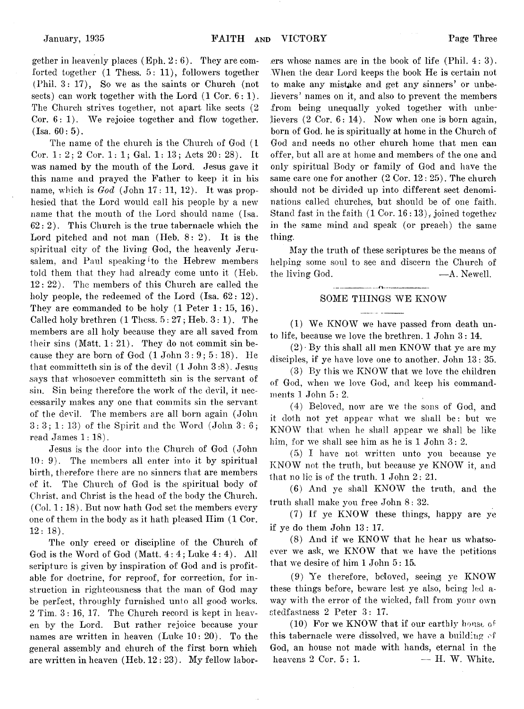gether in heavenly places (Eph.  $2:6$ ). They are comforted together (1 Thess. 5: 11), followers together (Phil. 3: 17), So we as the saints or Church (not sects) can work together with the Lord  $(1 \text{ Cor. } 6: 1)$ . The Church strives together, not apart like sects (2 Cor.  $6:1$ ). We rejoice together and flow together.  $(Tsa. 60: 5)$ .

The name of the church is the Church of God (1 Cor. 1:  $2: 2$  Cor. 1: 1; Gal. 1: 13; Acts  $20: 28$ ). It was named by the mouth of the Lord. Jesus gave it this name and prayed the Father to keep it in his name, which is  $God$  (John  $17: 11, 12$ ). It was prophesied that the Lord would call his people by a new name that the mouth of the Lord should name (Isa.  $62:2$ ). This Church is the true tabernacle which the Lord pitched and not man  $(Heb, 8:2)$ . It is the spiritual city of the living God, the heavenly Jerusalem, and Paul speaking to the Hebrew members told them that they had already come unto it (Heb. 12: 22). The members of this Church are called the holy people, the redeemed of the Lord (Isa. 62: 12). They are commanded to be holy (1 Peter 1: 15, 16). Called holy brethren  $(1$  Thess.  $5:27$ ; Heb.  $3:1$ ). The members are all holy because they are all saved from their sins  $(Matt, 1: 21)$ . They do not commit sin because they are born of God  $(1$  John  $3: 9: 5: 18$ . He that committeth sin is of the devil (1 John 3 :8). Jesus says that whosoever committeth sin is the servant of sin. Sin being therefore the work of the devil, it neccessarily makes any one that commits sin the servant of the devil. The members are all born again (John  $3: 3: 1: 13$  of the Spirit and the Word (John  $3: 6: 7: 13$ ) read James 1: 18).

Jesus is the door into the Church of God (John 10: 9). The members all enter into it by spiritual birth, therefore there are no sinners that are members of it. The Church of God is the spiritual body of Christ, and Christ is the head of the body the Church.  $(Col. 1: 18)$ . But now hath God set the members every one of them in the body as it hath pleased Him (1 Cor. 12: 18).

The only creed or discipline of the Church of God is the Word of God (Matt. 4:4; Luke 4:4). All scripture is given by inspiration of God and is profitable for doctrine, for reproof, for correction, for instruction in righteousness that the man of God may be perfect, throughly furnished unto all good works. 2 Tim. 3: 16, 17. The Church record is kept in heaven by the Lord. But rather rejoice because your names are written in heaven (Luke 10: 20). To the general assembly and church of the first born which are written in heaven (Heb. 12 : 23). My fellow labor-

ers whose names are in the book of life (Phil. 4:3). When the dear Lord keeps the book He is certain not to make any mistake and get any sinners' or unbelievers' names on it, and also to prevent the members from being unequally yoked together with unbelievers (2 Cor. 6: 14). Now when one is born again, born of God. he is spiritually at home in the Church of God and needs no other church home that men can offer, but all are at home and members of the one and only spiritual Body or family of God and have the same care one for another (2 Cor. 12: 25). The church should not be divided up into different sect denominations called churches, but should be of one faith. Stand fast in the faith  $(1 \text{ Cor. } 16:13)$ , joined together in the same mind and speak (or preach) the same thing.

May the truth of these scriptures be the means of helping some soul to see and discern the Church of the living God. —A. Newell.

#### ----------------------------------— f V --------------------------------------- SOME THINGS WE KNOW

 $\ddot{\phantom{a}}$ 

(1) We KNOW we have passed from death unto life, because we love the brethren. 1 John 3: 14.

 $(2)$ . By this shall all men KNOW that ye are my disciples, if ye have love one to another. John 13: 35.

(3) By this we KNOW that we love the children of God, when we love God, and keep his commandments 1 John 5: 2.

(4) Beloved, now are we the sons of God, and it doth not yet appear what we shall be: but we KNOW that when he shall appear we shall be like him, for we shall see him as he is 1 John 3: 2.

(5) I have not written unto you because ye KNOW not the truth, but because ye KNOW it, and that no lie is of the truth. 1 John 2: 21.

(6) And ye shall KNOW the truth, and the truth shall make you free John 8: 32.

(7) If ye KNOW these things, happy are ye if ye do them John 13: 17.

(8) And if we KNOW that he hear us whatsoever we ask, we KNOW that we have the petitions that we desire of him 1 John 5: 15.

(9) Ye therefore, beloved, seeing ye KNOW these things before, beware lest ye also, being led away with the error of the wicked, fall from your own stedfastness 2 Peter 3: 17.

(10) For we KNOW that if our earthly house of this tabernacle were dissolved, we have a building of God, an house not made with hands, eternal in the heavens  $2 \text{ Cor. } 5:1.$   $- \text{H. } W.$  White.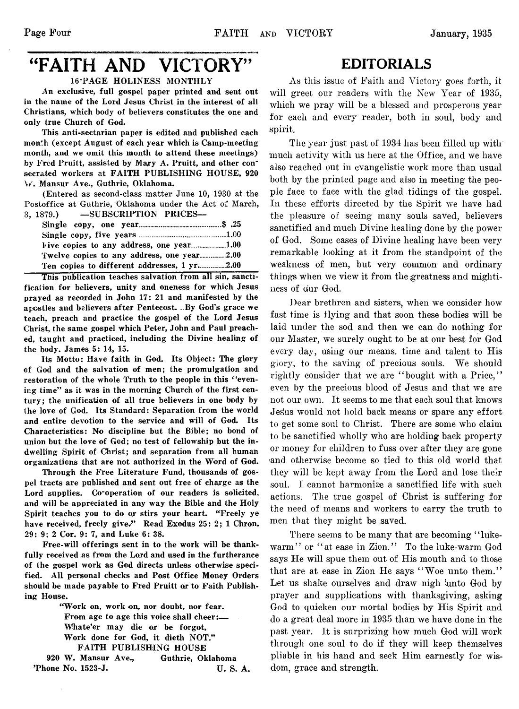# "FAITH AND VICTORY" EDITORIALS

#### 16-PAGE HOLINESS MONTHLY

An exclusive, full gospel paper printed and sent out in the name of the Lord Jesus Christ in the interest of all Christians, which body of believers constitutes the one and only true Church of God.

This anti-sectarian paper is edited and published each month (except August of each year which is Camp-meeting month, and we omit this month to attend these meetings) by Fred Pruitt, assisted by Mary A. Pruitt, and other con" secrated workers at FAITH PUBLISHING HOUSE, 920 W. Mansur Ave., Guthrie, Oklahoma.

(Entered as second-class matter June 10, 1930 at the Postoffice at Guthrie, Oklahoma under the Act of March, 3, 1879.) —SUBSCRIPTION PRICES—

| Ten copies to different addresses, 1 yr2.00 |  |
|---------------------------------------------|--|

This publication teaches salvation from all sin, sancti fication for believers, unity and oneness for which Jesus prayed as recorded in John 17: 21 and manifested by the apostles and believers after Pentecost. ..By God's grace we teach, preach and practice the gospel of the Lord Jesus Christ, the same gospel which Peter, John and Paul preached, taught and practiced, including the Divine healing of the body. James 5: 14, 15.

Its Motto: Have faith in God. Its Object: The glory of God and the salvation of men; the promulgation and restoration of the whole Truth to the people in this *'* 'evening time" as it was in the morning Church of the first century; the unification of all true believers in one bpdy by the love of God. Its Standard: Separation from the world and entire devotion to the service and will of God. Its Characteristics: No discipline but the Bible; no bond of union but the love of God; no test of fellowship but the indwelling Spirit of Christ; and separation from all human organizations that are not authorized in the Word of God.

Through the Free Literature Fund, thousands of gospel tracts are published and sent out free of charge as the Lord supplies. Co-operation of our readers is solicited, and will be appreciated in any way the Bible and the Holy Spirit teaches you to do or stirs your heart. "Freely ye have received, freely give." Read Exodus 25: 2; 1 Chron. 29: 9; 2 Cor. 9: 7, and Luke 6: 38.

Free-will offerings sent in to the work will be thankfully received as from the Lord and used in the furtherance of the gospel work as God directs unless otherwise specified. All personal checks and Post Office Money Orders should be made payable to Fred Pruitt or to Faith Publishing House.

"Work on, work on, nor doubt, nor fear. From age to age this voice shall cheer:— Whate'er may die or be forgot, Work done for God, it dieth NOT." FAITH PUBLISHING HOUSE 920 W. Mansur Ave., Guthrie, Oklahoma

Thone No. 1523-J. U.S. A.

As this issue of Faith and Victory goes forth, it will greet our readers with the New Year of 1935, which we pray will be a blessed and prosperous year for each and every reader, both in soul, body and spirit.

The year just past of 1934 has been filled up with' much activity with us here at the Office, and we have also reached out in evangelistic work more than usual both by the printed page and also in meeting the people face to face with the glad tidings of the gospel. In these efforts directed by the Spirit we have had the pleasure of seeing many souls saved, believers sanctified and much Divine healing done by the power of God. Some cases of Divine healing have been very remarkable looking at it from the standpoint of the weakness of men, but very common and ordinary things when we view it from the greatness and mightiness of dur God.

Dear brethren and sisters, when we consider how fast time is flying and that soon these bodies will be laid under the sod and then we can do nothing for our Master, we surely ought to be at our best for God every day, using our means, time and talent to His glory, to the saving of precious souls. We should rightly consider that we are "bought with a Price," even by the precious blood of Jesus and that we are not our own. It seems to me that each soul that knows Jesius would not hold back means or spare any effort to get some soul to Christ. There are some who claim to be sanctified wholly who are holding back property or money for children to fuss over after they are gone 'and otherwise become so tied to this old world that they will be kept away from the Lord and lose their soul. I cannot harmonize a sanctified life with such actions. The true gospel of Christ is suffering for the need of means and workers to carry the truth to men that they might be saved.

There seems to be many that are becoming "lukewarm" or "at ease in Zion." To the luke-warm God says He will spue them out of His mouth and to those that are at ease in Zion He says "Woe unto them." Let us shake ourselves and draw nigh 'unto God by prayer and supplications with thanksgiving, asking God to quicken our mortal bodies by His Spirit and do a great deal more in 1935 than we have done in the past year. It is surprizing how much God will work through one soul to do if they will keep themselves pliable in his hand and seek Him earnestly for wisdom, grace and strength.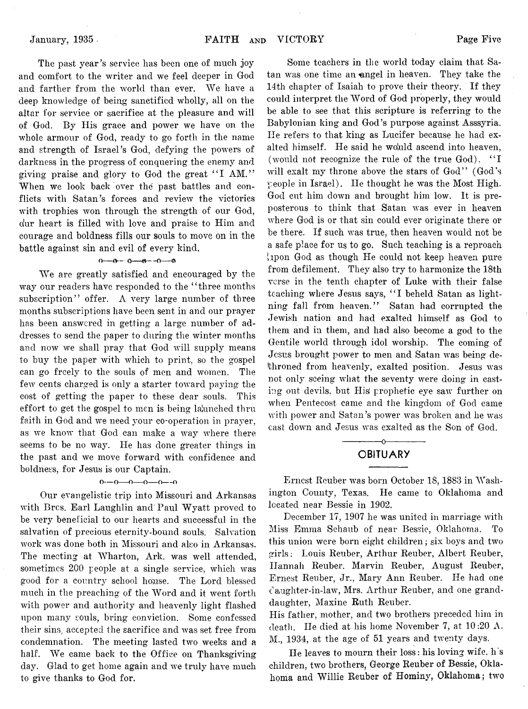The past year's service has been one of much joy and comfort to the writer and we feel deeper in God and farther from the world than ever. We have a deep knowledge of being sanctified wholly, all on the altar for service or sacrifice at the pleasure and will of God. By His grace and power we have on the whole armour of God, ready to go forth in the name and strength of Israel's God, defying the powers of darkness in the progress of conquering the enemy and giving praise and glory to God the great "I AM." When we look back over the past battles and conflicts with Satan's forces and review the victories with trophies won through the strength of our God, o!ur heart is filled with love and praise to Him and courage and boldness fills our souls to move on in the battle against sin and evil of every kind.

#### $0-0-0-0-0$

We are greatly satisfied and encouraged by the way our readers have responded to the "three months subscription" offer. A very large number of three months subscriptions have been sent in and our prayer has been answered in getting a large number of addresses to send the paper to during the winter months and now we shall pray that God will supply means to buy the paper with which to print, so the gospel can go freely to the souls of men and women. The few cents charged is only a starter toward paying the cost of getting the paper to these dear souls. This effort to get the gospel to men is being laiunched thru faith in God and we need your co-operation in prayer, as we know that God can make a way where there seems to be no way. He has done greater things in the past and we move forward with confidence and boldness, for Jesus is our Captain.

#### $0-0-0-0-0-0-0$

Our evangelistic trip into Missouri and Arkansas with Brcs. Earl Laughlin and Paul Wyatt proved to be very beneficial to our hearts and successful in the salvation of precious eternity-bound souls. Salvation work was done both in Missouri and also in Arkansas. The meeting at Wharton, Ark. was well attended, sometimes 200 people at a single service, which was good for a country school house. The Lord blessed much in the preaching of the Word and it went forth with power and authority and heavenly light flashed upon many souls, bring conviction. Some confessed their sins, accepted the sacrifice and was set free from condemnation. The meeting lasted two weeks and a half. We came back to the Office on Thanksgiving day. Glad to get home again and we truly have much to give thanks to God for.

Some teachers in the world today claim that Satan was one time an angel in heaven. They take the 14th chapter of Isaiah to prove their theory. If they could interpret the Word of God properly, they would be able to see that this scripture is referring to the Babylonian king and God's purpose against Asssyria. lie refers to that king as Lucifer because he had exalted himself. He said he would ascend into heaven, (would not recognize the rule of the true God). "I will exalt my throne above the stars of God" (God's people in Israel). He thought he was the Most High. God cut him down and brought him low. It is preposterous to think that Satan was ever in heaven where God is or that sin could ever originate there or be there. If such was true, then heaven would not be a safe place for us to go. Such teaching is a reproach [upon God as though He could not keep heaven pure from defilement. They also try to harmonize the 18th verse in the tenth chapter of Luke with their false teaching where Jesus says, "I beheld Satan as lightning fall from heaven." Satan had corrupted the Jewish nation and had exalted himself as God to them and in them, and had also become a god to the Gentile world through idol worship. The coming of Jesus brought power to men and Satan was being dethroned from heavenly, exalted position. Jesus was not only seeing what the seventy were doing in casting out devils, but His prophetic eye saw further on when Pentecost came and the kingdom of God came with power and Satan's power was broken and he was cast down and Jesus was exalted as the Son of God.

## -------------- o-------------- **OBITUARY**

Ernest Reuber was born October 18, 1883 in 'Washington County, Texas. He came to Oklahoma and located near Bessie in 1902.

December 17, 1907 he was united in marriage with Miss Emma Schaub of near Bessie, Oklahoma. To this union were born eight children; six boys and two girls: Louis Reuber, Arthur Reuber, Albert Reuber, Hannah Reuber. Marvin Reuber, August Reuber, Ernest Reuber, Jr., Mary Ann Reuber. He had one daughter-in-law, Mrs. Arthur Reuber, and one granddaughter, Maxine Ruth Reuber.

His father, mother, and two brothers preceded him in death. He died at his home November 7, at 10:20 A. M., 1934, at the age of 51 years and twenty days.

He leaves to mourn their loss: his loving wife, h s children, two brothers, George Reuber of Bessie, Oklahoma and Willie Reuber of Hominy, Oklahoma; two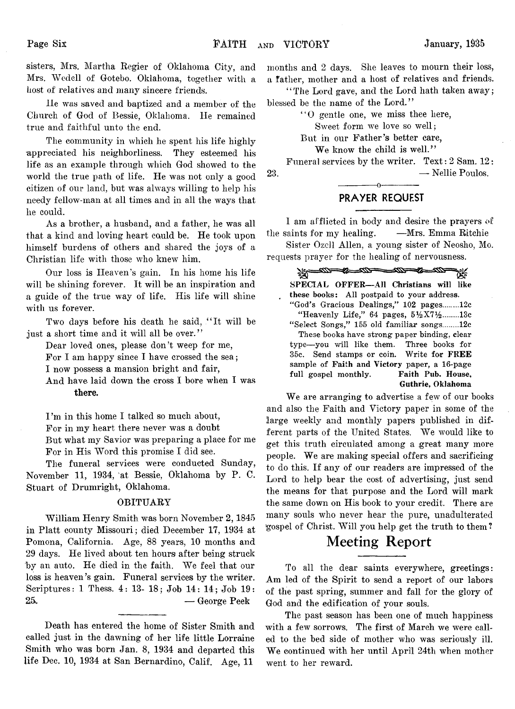sisters, Mrs. Martha Regier of Oklahoma City, and Mrs. Wedcll of Gotebo. Oklahoma, together with a host of relatives and many sincere friends.

He was saved and baptized and a member of the Church of God of Bessie, Oklahoma. He remained true and faithful unto the end.

The community in which he spent his life highly appreciated his neighborliness. They esteemed his life as an example through which God showed to the world the true path of life. He was not only a good citizen of our land, but was always willing to help his needy fellow-man at all times and in all the ways that he could.

As a brother, a husband, and a father, he was all that a kind and loving heart could be. He took upon himself burdens of others and shared the joys of a Christian life with those who knew him.

Our loss is Heaven's gain. In his home his life will be shining forever. It will be an inspiration and a guide of the true way of life. His life will shine with us forever.

Two days before his death he said, "It will be just a short time and it will all be over."

Dear loved ones, please don't weep for me,

For I am happy since I have crossed the sea;

I now possess a mansion bright and fair,

And have laid down the cross I bore when I was **there.**

I'm in this home I talked so much about,

For in my heart there never was a doubt

But what my Savior was preparing a place for me For in His Word this promise I did see.

The funeral services were conducted Sunday, November 11, 1934, at Bessie, Oklahoma by P. C. Stuart of Drumright, Oklahoma.

#### **OBITUARY**

William Henry Smith was born November 2, 1845 in Platt county Missouri; died December 17, 1934 at Pomona, California. Age, 88 years, 10 months and 29 days. He lived about ten hours after being struck by an auto. He died in the faith. We feel that our loss is heaven's gain. Funeral services by the writer. Scriptures: 1 Thess. 4: 13- 18; Job 14: 14; Job 19: 25,. — George Peek

Death has entered the home of Sister Smith and called just in the dawning of her life little Lorraine Smith who was born Jan. 8, 1934 and departed this life Dec. 10, 1934 at San Bernardino, Calif. Age, 11

months and 2 days. She leaves to mourn their loss, a father, mother and a host of relatives and friends.

' ' The Lord gave, and the Lord hath taken away; blessed be the name of the Lord."

" 0 gentle one, we miss thee here,

Sweet form we love so well;

But in our Father's better care,

We know the child is well."

Funeral services by the writer. Text: 2 Sam. 12: 23. — Nellie Poulos.

## ------------- o------------- **PRAYER REQUEST**

I am afflicted in body and desire the prayers of the saints for my healing. — Mrs. Emma Ritchie

Sister Ozcll Allen, a young sister of Neosho, Mo. requests prayer for the healing of nervousness.

<u> 200 - 20 - 200 - 200 - 200 - 200 - 200 - 200 - 200 - 200 - 200 - 200 - 200 - 200 - 200 - 200 - 200 - 200 - 200 - 200 - 200 - 200 - 200 - 200 - 200 - 200 - 200 - 200 - 200 - 200 - 200 - 200 - 200 - 200 - 200 - 200 - 200 -</u> デジー SPECIAL OFFER—All Christians will like these books: All postpaid to your address. " God's Gracious Dealings," 102 pages.......12c "Heavenly Life," 64 pages,  $5\frac{1}{2}X7\frac{1}{2}$ ........13c " Select Songs," 155 old familiar songs.......12c These books have strong paper binding, clear type—you will like them. Three books for 35c. Send stamps or coin. Write for FREE sample of Faith and Victory paper, a 16-page full gospel monthly. Faith Pub. House, Guthrie, Oklahoma

We are arranging to advertise a few of our books and also the Faith and Victory paper in some of the large weekly and monthly papers published in different parts of the United States. We would like to get this truth circulated among a great many more people. We are making special offers and sacrificing to do this. If any of our readers are impressed of the Lord to help bear the cost of advertising, just send the means for that purpose and the Lord will mark the same down on His book to your credit. There are many souls who never hear the pure, unadulterated gospel of Christ. Will you help get the truth to them?

## **Meeting Report**

To all the dear saints everywhere, greetings: Am led of the Spirit to send a report of our labors of the past spring, summer and fall for the glory of God and the edification of your souls.

The past season has been one of much happiness with a few sorrows. The first of March we were called to the bed side of mother who was seriously ill. We continued with her until April 24th when mother went to her reward.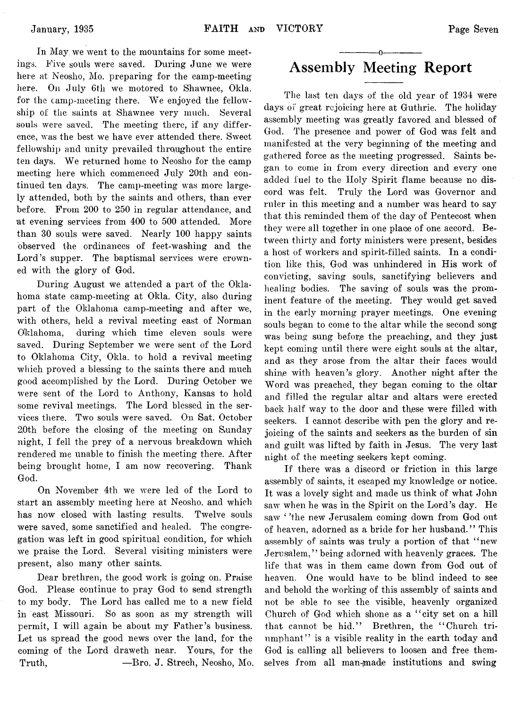In May we went to the mountains for some meetings. Five souls were saved. During June we were here at Neosho, Mo. preparing for the camp-meeting here. On July 6th we motored to Shawnee, Okla. for the camp-meeting there. We enjoyed the fellowship of the saints at Shawnee very much. Several souls were saved. The meeting there, if any difference, was the best we have ever attended there. Sweet fellowship and unity prevailed throughout the entire ten days. We returned home to Neosho for the camp meeting here which commenced July 20th and continued ten days. The camp-meeting was more largely attended, both by the saints and others, than ever before. From 200 to 250 in regular attendance, and at evening services from 400 to 500 attended. More than 30 souls were saved. Nearly 100 happy saints observed the ordinances of feet-washing and the Lord's supper. The baptismal services were crowned with the glory of God.

During August we attended a part of the Oklahoma state camp-meeting at Okla. City, also during part of the Oklahoma camp-meeting and after we, with others, held a revival meeting east of Norman Oklahoma, during which time eleven souls were saved. During September we were sent of the Lord to Oklahoma City, Okla. to hold a revival meeting which proved a blessing to the saints there and much good accomplished by the Lord. During October we were sent of the Lord to Anthony, Kansas to hold some revival meetings. The Lord blessed in the services there. Two souls were saved. On Sat. October 20th before the closing of the meeting on Sunday night, I fell the prey of a nervous breakdown which rendered me unable to finish the meeting there. After being brought home, I am now recovering. Thank God.

On November 4th we were led of the Lord to start an assembly meeting here at Neosho, and which has now closed with lasting results. Twelve souls were saved, some sanctified and healed. The congregation was left in good spiritual condition, for which we praise the Lord. Several visiting ministers were present, also many other saints.

Dear brethren, the good work is going on. Praise God. Please continue to pray God to send strength to my body. The Lord has called me to a new field in east Missouri. So as soon as my strength will permit, I will again be about my Father's business. Let us spread the good news over the land, for the coming of the Lord draweth near. Yours, for the Truth, — Bro. J. Strech, Neosho, Mo.

## ------------- o------------- **Assembly Meeting Report**

The last ten days of the old year of 1934 were days of great rejoicing here at Guthrie. The holiday assembly meeting was greatly favored and blessed of God. The presence and power of God was felt and manifested at the very beginning of the meeting and gathered force as the meeting progressed. Saints began to come in from every direction and every one added fuel to the Holy Spirit flame because no discord was felt. Truly the Lord was Governor and ruler in this meeting and a number was heard to say that this reminded them of the day of Pentecost when they were all together in one place of one accord. Between thirty and forty ministers were present, besides a host of workers and spirit-filled saints. In a condition like this, God was unhindered in His work of convicting, saving souls, sanctifying believers and healing bodies. The saving of souls was the prominent feature of the meeting. They would get saved in the early morning prayer meetings. One evening souls began to come to the altar while the second song was being sung before the preaching, and they just kept coming until there were eight souls at the altar, and as they arose from the altar their faces would shine with heaven's glory. Another night after the Word was preached, they began coming to the oltar and filled the regular altar and altars were erected back half way to the door and these were filled with seekers. I cannot describe with pen the glory and rejoicing of the saints and seekers as the burden of sin and guilt was lifted by faith in Jesus. The very last night of the meeting seekers kept coming.

If there was a discord or friction in this large assembly of saints, it escaped my knowledge or notice. It was a lovely sight and made us think of what John saw when he was in the Spirit on the Lord's day. He saw ' 'the new Jerusalem coming down from God out of heaven, adorned as a bride for her husband. ' ' This assembly of saints was truly a portion of that " new Jerusalem," being adorned with heavenly graces. The life that was in them came down from God out of heaven. One would have to be blind indeed to see and behold the working of this assembly of saints and not be able to see the visible, heavenly organized Church of God which shone as a " city set on a hill that cannot be hid." Brethren, the "Church triumphant" is a visible reality in the earth today and God is calling all believers to loosen and free themselves from all man-made institutions and swing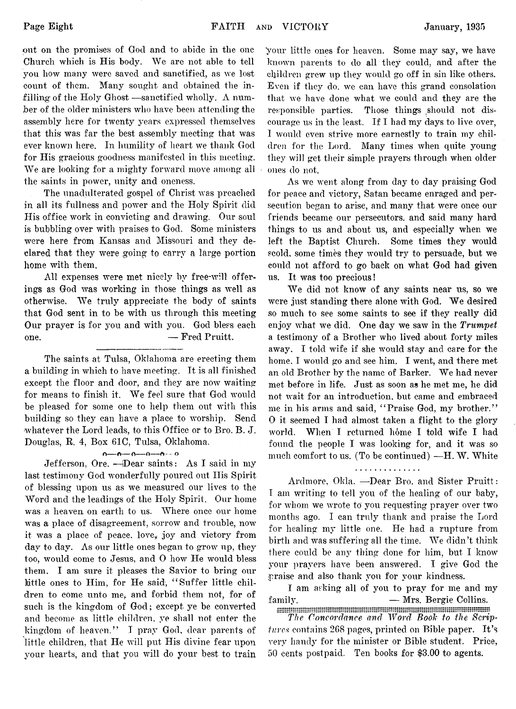out on the promises of God and to abide in the one Church which is His body. We are not able to tell you how many were saved and sanctified, as we lost count of them. Many sought and obtained the infilling of the Holy Ghost —sanctified wholly.  $\Lambda$  number of the older ministers who have been attending the assembly here for twenty years expressed themselves that this was far the best assembly meeting that was ever known here. In humility of heart we thank God for His gracious goodness manifested in this meeting. We are looking for a mighty forward move among all the saints in power, unity and oneness.

The unadulterated gospel of Christ was preached in all its fullness and power and the Holy Spirit did His office work in convicting and drawing. Our soul is bubbling over with praises to God. Some ministers were here from Kansas and Missouri and they declared that they were going to carry a large portion home with them.

All expenses were met nicely by free-will offerings as God was working in those things as well as otherwise. We truly appreciate the body of saints that God sent in to be with us through this meeting Our prayer is for you and with you. God bless each one. — Fred Pruitt.

The saints at Tulsa, Oklahoma are erecting them a building in which to have meeting. It is all finished except the floor and door, and they are now waiting for means to finish it. We feel sure that God would be pleased for some one to help them out with this building so they can have a place to worship. Send whatever the Lord leads, to this Office or to Bro. B. J. Douglas, E. 4, Box 61C, Tulsa, Oklahoma.

 $0 \rightarrow 0 \rightarrow 0 \rightarrow 0 \rightarrow 0$ 

Jefferson, Ore. —Dear saints: As I said in my last testimony God wonderfully poured out His Spirit of blessing upon us as we measured our lives to the Word and the leadings of the Holy Spirit. Our home was a heaven on earth to us. Where once our home was a place of disagreement, sorrow and trouble, now it was a place of peace, love, joy and victory from day to day. As our little ones began to grow up, they too, would come to Jesus, and 0 how He would bless them. I am sure it pleases the Savior to bring our little ones to Him, for He said, " Suffer little children to come unto me, and forbid them not, for of such is the kingdom of God; except ye be converted and become as little children, ye shall not enter the kingdom of .heaven." I pray God, dear parents of little children, that He will put His divine fear upon your hearts, and that you will do your best to train your little ones for heaven. Some may say, we have known parents to do all they could, and after the children grew up they would go off in sin like others. Even if they do. we can have this grand consolation that we have done what we could and they are the responsible parties. Those things should not discourage us in the least. If I had my days to live over, I would even strive more earnestly to train my children for the Lord. Many times when quite young they will get their simple prayers through when older ones do not.

As we went along from day to day praising God for peace and victory, Satan became enraged and persecution began to arise, and many that were once our friends became our persecutors, and said many hard things to us and about us, and especially when we left the Baptist Church. Some times they would scold, some times they would try to persuade, but we could not afford to go back on what God had given us. It was too precious!

We did not know of any saints near us, so we were just standing there alone with God. We desired so much to see some saints to see if they really did enjoy what we did. One day we saw in the *Trumpet* a testimony of a Brother who lived about forty miles away. I told wife if she would stay and care for the home, I would go and see him. I went, and there met an old Brother by the name of Barker. We had never met before in life. Just as soon as he met me, he did not wait for an introduction, but came and embraced me in his arms and said, " Praise God, my brother." 0 it seemed I had almost taken a flight to the glory world. When I returned home I told wife I had found the people I was looking for, and it was so much comfort to us. (To be continued) — H. W. White

#### . . . . . . . . . . . . . .

Ardmore, Okla. - Dear Bro. and Sister Pruitt: I am writing to tell you of the healing of our baby, for whom we wrote to you requesting prayer over two months ago. I can truly thank and praise the Lord for healing my little one. He had a rupture from birth and was suffering all the time. We didn't think there could be any thing done for him, but I know your prayers have been answered. I give God the praise and also thank you for your kindness.

I am asking all of you to pray for me and my family. — Mrs. Bergie Collins.

*The Concordance and Word Book to the Scriptures* contains 268 pages, printed on Bible paper. It's very handy for the minister or Bible student. Price, 50 cents postpaid. Ten books for \$3.00 to agents.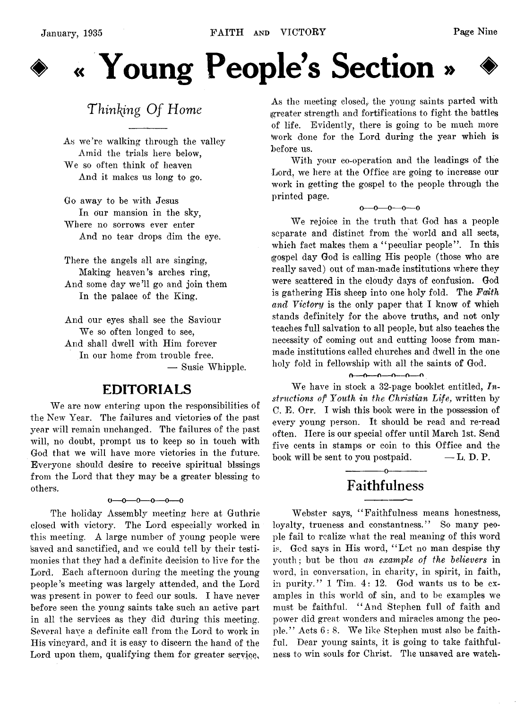

# « Young People's Section »

## **Thinking Of Home**

As we're walking through the valley Amid the trials here below, We so often think of heaven And it makes us long to go.

Go away to be with Jesus In our mansion in the sky, Where no sorrows ever enter And no tear drops dim the eye.

There the angels all are singing, Making heaven's arches ring, And some day we'll go and join them In the palace of the King.

And our eyes shall see the Saviour We so often longed to see, And shall dwell with Him forever In our home from trouble free. — Susie Whipple.

## EDITORIALS

We are now entering upon the responsibilities of the New Year. The failures and victories of the past year will remain unchanged. The failures of the past will, no doubt, prompt us to keep so in touch with God that we will have more victories in the future. Everyone should desire to receive spiritual hissings from the Lord that they may be a greater blessing to others.

 $0-0-0-0-0-0$ 

The holiday Assembly meeting here at Guthrie closed with victory. The Lord especially worked in this meeting. A large number of young people were 'saved and sanctified, and we could tell by their testimonies that they had a definite decision to live for the Lord. Each afternoon during the meeting the young people's meeting was largely attended, and the Lord was present in power to feed our souls. I have never before seen the young saints take such an active part in all the services as they did during this meeting. Several have a definite call from the Lord to work in His vineyard, and it is easy to discern the hand of the Lord upon them, qualifying them for greater service,

As the meeting closed, the young saints parted with greater strength and fortifications to fight the battles of life. Evidently, there is going to be much more fwork done for the Lord during the year which is before us.

With your co-operation and the leadings of the Lord, we here at the Office are going to increase our work in getting the gospel to the people through the printed page.

 $0 - 0 - 0 - 0 - 0$ 

We rejoice in the truth that God has a people separate and distinct from the world and all sects, which fact makes them a "peculiar people". In this gospel day God is calling His people (those who are really saved) out of man-made institutions where they were scattered in the cloudy days of confusion. God is gathering His sheep into one holy fold. The *Faith and Victory* is the only paper that I know of which stands definitely for the above truths, and not only teaches full salvation to all people, but also teaches the necessity of coming out and cutting loose from manmade institutions called churches and dwell in the one holy fold in fellowship with all the saints of God.

#### $\overbrace{0 \pmod{0}}$

We have in stock a 32-page booklet entitled, *Instructions of Youth in the Christian Life,* written by C. E. Orr. I wish this book were in the possession of every young person. It should be read and re-read often. Here is our special offer until March 1st. Send five cents in stamps or coin to this Office and the book will be sent to you postpaid.  $-$  L. D. P.

## ------------- o------------- **Faithfulness**

Webster says, " Faithfulness means honestness, loyalty, trueness and constantness." So many people fail to realize what the real meaning of this word is. God says in His word, " Let no man despise thy youth; but be thou *an example of the believers* in word, in conversation, in charity, in spirit, in faith., in purity." 1 Tim. 4: 12. God wants us to be examples in this world of sin, and to be examples we must be faithful. " And Stephen full of faith and power did great wonders and miracles among the people." Acts 6: 8. We like Stephen must also be faithful. Dear young saints, it is going to take faithfulness to win souls for Christ. The unsaved are watch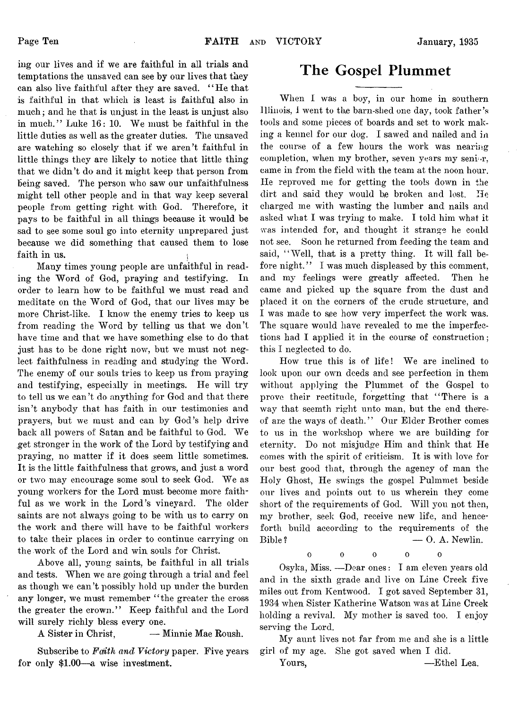mg our lives and if we are faithful in all trials and temptations the unsaved can see by our lives that they can also live faithful after they are saved. "He that is faithful in that which is least is faithful also in much; and he that is unjust in the least is unjust also in much." Luke 16: 10. We must be faithful in the little duties as well as the greater duties. The unsaved are watching so closely that if we aren't faithful in little things they are likely to notice that little thing that we didn't do and it might keep that person from being saved. The person who saw our unfaithfulness might tell other people and in that way keep several people from getting right with God. Therefore, it pays to be faithful in all things because it would be sad to see some soul go into eternity unprepared just because we did something that caused them to lose faith in us.

Many times young people are unfaithful in reading the Word of God, praying and testifying. In order to learn how to be faithful we must read and meditate on the Word of God, that our lives may be more Christ-like. I know the enemy tries to keep us from reading the Word by telling us that we don't have time and that we have something else to do that just has to be done right now, but we must not neglect faithfulness in reading and studying the Word. The enemy of our souls tries to keep us from praying and testifying, especially in meetings. He will try to tell us we can't do anything for God and that there isn't anybody that has faith in our testimonies and prayers, but we must and can by God's help drive back all powers of Satan and be faithful to God. We get stronger in the work of the Lord by testifying and praying, no matter if it does seem little sometimes. It is the little faithfulness that grows, and just a word or two may encourage some soul to seek God. We as young workers for the Lord must become more faithful as we work in the Lord's vineyard. The older saints are not always going to be with us to carry on the work and there will have to be faithful workers to take their places in order to continue carrying on the work of the Lord and win souls for Christ.

Above all, young saints, be faithful in all trials and tests. When we are going through a trial and feel as though we can't possibly hold up under the burden any longer, we must remember "the greater the cross the greater the crown." Keep faithful and the Lord will surely richly bless every one.

A Sister in Christ, — Minnie Mae Roush.

Subscribe to *Faith and Victory* paper. Five years for only \$1.00—a wise investment.

## **The Gospel Plummet**

When I was a boy, in our home in southern Illinois, 1 went to the barn-shed one day, took father's tools and some pieces of boards and set to work making a kennel for our dog. I sawed and nailed and in the course of a few hours the work was nearing completion, when my brother, seven years my seni  $r$ , came in from the field with the team at the noon hour. He reproved me for getting the tools down in the dirt and said they would he broken and lost. He charged me with wasting the lumber and nails and asked what I was trying to make. I told him what it was intended for, and thought it strange he could not see. Soon he returned from feeding the team and said, "Well, that is a pretty thing. It will fall before night.'' I was much displeased by this comment, and my feelings were greatly affected. Then he came and picked up the square from the dust and placed it on the corners of the crude structure, and I was made to see how very imperfect the work was. The square would have revealed to me the imperfections had I applied it in the course of construction; this I neglected to do.

How true this is of life! We are inclined to look upon our own deeds and see perfection in them without applying the Plummet of the Gospel to prove their rectitude, forgetting that "There is a way that seemth right unto man, but the end thereof are the ways of death." Our Elder Brother comes to us in the workshop where we are building for eternity. Do not misjudge Him and think that He comes with the spirit of criticism. It is with love for our best good that, through the agency of man the Holy Ghost, He swings the gospel Pulmmet beside our lives and points out to us wherein they come short of the requirements of God. Will you not then, my brother, seek God, receive new life, and henceforth build according to the requirements of the Bible ? — 0. A. Newlin.

 $\begin{array}{ccc} 0 & 0 & 0 \end{array}$  $\alpha$ 

Osyka, Miss. — Dear ones: I am eleven years old and in the sixth grade and live on Line Creek five miles out from Kentwood. I got saved September 31, 1934 when Sister Katherine Watson was at Line Creek holding a revival. My mother is saved too. I enjoy serving the Lord.

My aunt lives not far from me and she is a little girl of my age. She got saved when I did.

Yours, — Ethel Lea.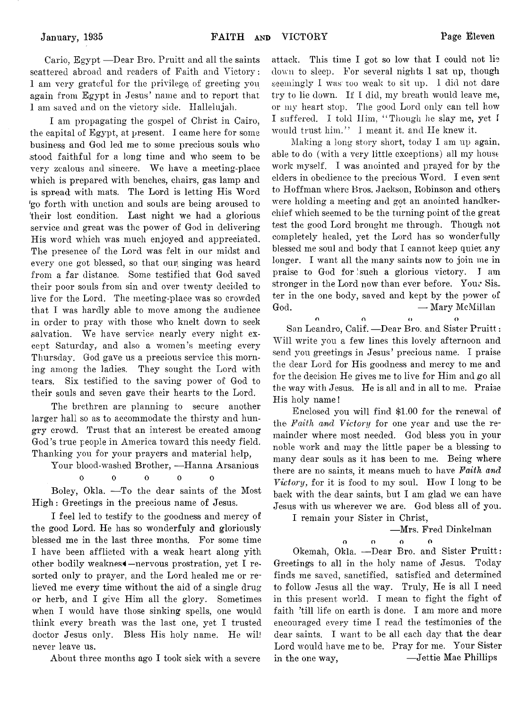Cario, Egypt — Dear Bro. Pruitt and all the saints scattered abroad and readers of Faith and Victory: 1 am very grateful for the privilege; of greeting you again from Egypt in Jesus' name and to report that 1 am saved and on the victory side. Hallelujah.

I am propagating the gospel of Christ in Cairo, the capital of Egypt, at present. I came here for some business and God led me to some precious souls who stood faithful for a long time and who seem to be very zealous and sincere. We have a meeting-place which is prepared with benches, chairs, gas lamp and is spread with mats. The Lord is letting His Word 'go forth with unction and souls are being aroused to 'their lost condition. Last night we had a glorious service and great was the power of God in delivering His word which was much enjoyed and appreciated. The presence of the Lord was felt in our midst and every one got blessed, so that our singing was heard from a far distance. Some testified that God saved their poor souls from sin and over twenty decided to live for the Lord. The meeting-place was so crowded that I was hardly able to move among the audience in order to pray with those who knelt down to seek salvation. We have service nearly every night except Saturday, and also a women's meeting every Thursday. God gave us a precious service this morning among the ladies. They sought the Lord with tears. Six testified to the saving power of God to their souls and seven gave their hearts to the Lord.

The brethren are planning to secure another larger hall so as to accommodate the thirsty and hungry crowd. Trust that an interest be created among God's true people in America toward this needy field. Thanking you for your prayers and material help,

Your blood-washed Brother, — Hanna Arsanious

ooooo

Boley, Okla. — To the dear saints of the Most High: Greetings in the precious name of Jesus.

I feel led to testify to the goodness and mercy of the good Lord. He has so wonderfuly and gloriously blessed me in the last three months. For some time I have been afflicted with a weak heart along yith other bodily weakness —nervous prostration, yet I resorted only to prayer, and the Lord healed me or relieved me every time without the aid of a single drug or herb, and I give Him all the glory. Sometimes when I would have those sinking spells, one would think every breath was the last one, yet I trusted doctor Jesus only. Bless His holy name. He will never leave us.

About three months ago I took sick with a severe

attack. This time I got so low that I could not lie down to sleep. For several nights 1 sat up, though seemingly I was too weak to sit up. I did not dare try to lie down. If I did, my breath would leave me, or my heart stop. The good Lord only can tell how I suffered. I told Him, " Though lie slay me, yet 1 would trust him." I meant it. and He knew it.

Making a long story short, today I am up again, able to do (with a very little exceptions) all my house work myself. I was anointed and prayed for by the elders in obedience to the precious Word. I even sent to Hoffman where Bros. Jackson, Robinson and others were holding a meeting and got an anointed handkerchief which seemed to be the turning point of the great test the good Lord brought me through. Though not completely healed, yet the Lord has so wonderfully blessed me soul and body that I cannot keep quiet any longer. I want all the many saints now to join me in praise to God for such a glorious victory. I am stronger in the Lord now than ever before. Your Sis. ter in the one body, saved and kept by the power of God. — Mary McMillan

n n o o San Leandro, Calif. —Dear Bro. and Sister Pruitt: Will write you a few lines this lovely afternoon and send you greetings in Jesus' precious name. I praise the dear Lord for His goodness and mercy to me and for the decision He gives me to live for Him and go all the way with Jesus. He is all and in all to me. Praise His holy name!

Enclosed you will find \$1.00 for the renewal of the *Faith and Victory* for one year and use the remainder where most needed. God bless you in your noble work and may the little paper be a blessing to many dear souls as it has been to me. Being where there are no saints, it means much to have *Faith and Victory,* for it is food to my soul. How I long to be back with the dear saints, but I am glad we can have Jesus with us wherever we are. God bless all of you.

I remain your Sister in Christ,

— Mrs. Fred Dinkelman

o o o o

Okemah, Okla. — Dear Bro. and Sister Pruitt: Greetings to all in the holy name of Jesus. Today finds me saved, sanctified, satisfied and determined to follow Jesus all the way. Truly, He is all I need in this present world. I mean to fight the fight of faith 'till life on earth is done. I am more and more encouraged every time I read the testimonies of the dear saints. I want to be all each day that the dear Lord would have me to be. Pray for me. Your Sister in the one way, — Jettie Mae Phillips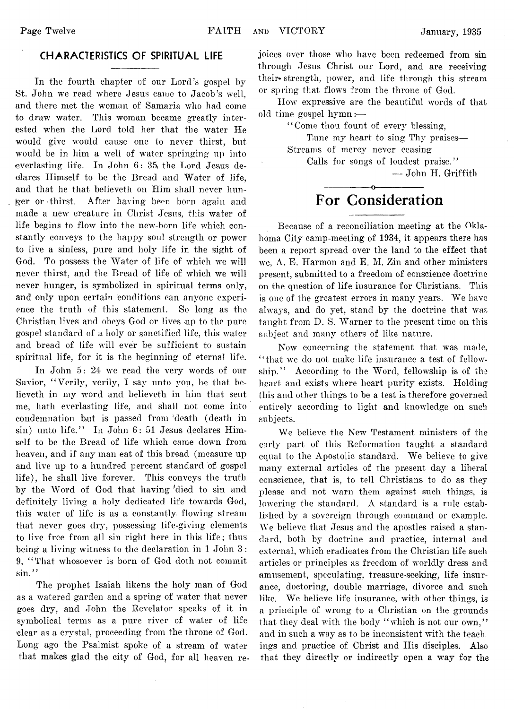#### **CHARACTERISTICS OF SPIRITUAL LIFE**

In the fourth chapter of our Lord's gospel by St. John we read where Jesus came to Jacob's well, and there met the woman of Samaria who had come to draw water. This woman became greatly interested when the Lord told her that the water He would give would cause one to never thirst, but would be in him a well of water springing up into everlasting life. In John 6: 35, the Lord Jesus declares Himself to be the Bread and Water of life, and that he that believeth on Him shall never hunger or ithirst. After having been born again and made a new creature in Christ Jesus, this water of life begins to flow into the new-born life which constantly conveys to the happy soul strength or power to live a sinless, pure and holy life in the sight of God. To possess the Water of life of which we will never thirst, and the Bread of life of which we will never hunger, is symbolized in spiritual terms only, and only upon certain conditions can anyone experience the truth of this statement. So long as the Christian lives and obeys God or lives up to the pure gospel standard of a holy or sanctified life, this water and bread of life will ever be sufficient to sustain spiritual life, for it is the beginning of eternal life.

In John 5: 24 we read the very words of our Savior, "Verily, verily, I say unto you, he that believeth in my word and believeth in him that sent me, hath everlasting life, and shall not come into condemnation but is passed from death (death in sin) unto life." In John 6: 51 Jesus declares Himself to be the Bread of life which came down from heaven, and if any man eat of this bread (measure up and live up to a hundred percent standard of gospel life), he shall live forever. This conveys the truth by the Word of God that having died to sin and definitely living a holy dedicated life towards God, this water of life is as a constantly flowing stream that never goes dry, possessing life-giving elements to live free from all sin right here in this life; thus being a living witness to the declaration in 1 John 3: 9, " That whosoever is born of God doth not commit sin."

The prophet Isaiah likens the holy man of God as a watered garden and a spring of water that never goes dry, and John the Revelator speaks of it in symbolical terms as a pure river of water of life •clear as a crystal, proceeding from the throne of God. Long ago the Psalmist spoke of a stream of water that makes glad the city of God, for all heaven rejoices over those who have been redeemed from sin through Jesus Christ our Lord, and are receiving their strength, power, and life through this stream or spring that flows from the throne of God.

How expressive are the beautiful words of that old time gospel hymn:—

" Come thou fount of every blessing,

Tune my heart to sing Thy praises— Streams of mercy never ceasing

Calls for songs of loudest praise." — John H. Griffith

## ---------------- o----------------- **For Consideration**

Because of a reconciliation meeting at the Oklahoma City camp-meeting of 1934, it appears there has been a report spread over the land to the effect that we, A. E. Harmon and E. M. Zin and other ministers present, submitted to a freedom of conscience doctrine on the question of life insurance for Christians. This is one of the greatest errors in many years. We have always, and do yet, stand by the doctrine that was taught from D. S. Warner to the present time on this subject and many others of like nature.

Now concerning the statement that was made, " that we do not make life insurance a test of fellowship." According to the Word, fellowship is of the heart and exists where heart purity exists. Holding this and other things to be a test is therefore governed entirely according to light and knowledge on such subjects.

We believe the New Testament ministers of the early part of this Reformation taught a standard equal to the Apostolic standard. We believe to give many external articles of the present day a liberal conscience, that is, to tell Christians to do as they please and not warn them against such things, is lowering the standard. A standard is a rule established by a sovereign through command or example. We believe that Jesus and the apostles raised a standard, both by doctrine and practice, internal and external, which eradicates from the Christian life such articles or principles as freedom of worldly dress and amusement, speculating, treasure-seeking, life insurance, doctoring, double marriage, divorce and such like. We believe life insurance, with other things, is a principle of wrong to a Christian on the grounds that they deal with the body "which is not our own," and in such a way as to be inconsistent with the teachings and practice of Christ and His disciples. Also that they directly or indirectly open a way for the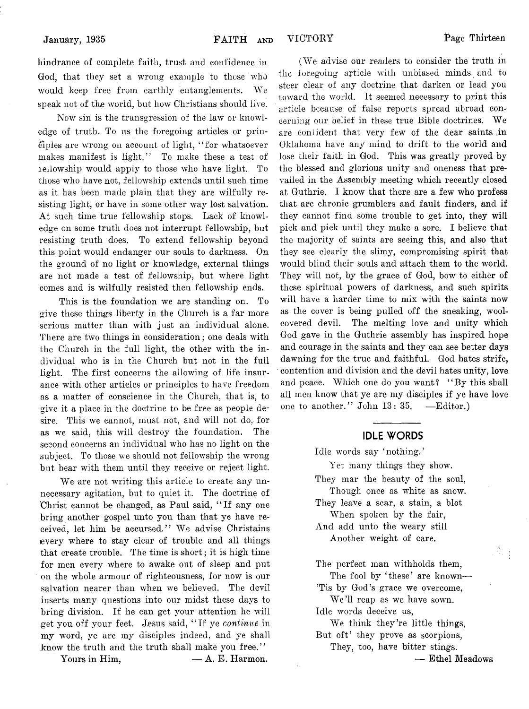hindrance of complete faith, trust and confidence in God, that they set a wrong example to those who would keep free from earthly entanglements. We speak not of the world, but how Christians should live.

Now sin is the transgression of the law or knowledge of truth. To us the foregoing articles or principles are wrong on account of light, 4' for whatsoever makes manifest is light." To make these a test of fellowship would apply to those who have light. To those who have not, fellowship extends until such time as it has been made plain that they are wilfully resisting light, or have in some other way lost salvation. At such time true fellowship stops. Lack of knowledge on some truth does not interrupt fellowship, but resisting truth does. To extend fellowship beyond this point would endanger our souls to darkness. On the ground of no light or knowledge, external things are not made a test of fellowship, but where light comes and is wilfully resisted then fellowship ends.

This is the foundation we are standing on. To give these things liberty in the Church is a far more serious matter than with just an individual alone. There are two things in consideration; one deals with the Church in the full light, the other with the individual who is in the Church but not in the full light. The first concerns the allowing of life insurance with other articles or principles to have freedom as a matter of conscience in the Church, that is, to give it a place in the doctrine to be free as people desire. This we cannot, must not, and will not do, for as we said, this will destroy the foundation. The second concerns an individual who has no light on the subject. To those we should not fellowship the wrong but bear with them until they receive or reject light.

We are not writing this article to create any unnecessary agitation, but to quiet it. The doctrine of 'Christ cannot be changed, as Paul said, " If any one bring another gospel unto you than that ye have received, let him be accursed." We advise Christains levery where to stay clear of trouble and all things that create trouble. The time is short; it is high time for men every where to awake out of sleep and put on the whole armour of righteousness, for now is our salvation nearer than when we believed. The devil inserts many questions into our midst these days to bring division. If he can get your attention he will get you off your feet. Jesus said, " If ye *continue* in my word, ye are my disciples indeed, and ye shall know the truth and the truth shall make you free."

Yours in Him,  $- A. E.$  Harmon.

(We advise our readers to consider the truth in the foregoing article with unbiased minds and to steer clear of any doctrine that darken or lead you toward the world. It seemed necessary to print this article because of false reports spread abroad concerning our belief in these true Bible doctrines. We are confident that very few of the dear saints in Oklahoma have any mind to drift to the world and lose their faith in God. This was greatly proved by the blessed and glorious unity and oneness that prevailed in the Assembly meeting which recently closed at Guthrie. I know that there are a few who profess that are chronic grumblers and fault finders, and if they cannot find some trouble to get into, they will pick and pick until they make a sore. I believe that the majority of saints are seeing this, and also that they see clearly the slimy, compromising spirit that would blind their souls and attach them to the world. They will not, by the grace of God, bow to either of these spiritual powers of darkness, and such spirits will have a harder time to mix with the saints now as the cover is being pulled off the sneaking, woolcovered devil. The melting love and unity which God gave in the Guthrie assembly has inspired hope and courage in the saints and they can see better days dawning for the true and faithful. God hates strife, contention and division and the devil hates unity, love and peace. Which one do you want? "By this shall all men know that ye are my disciples if ye have love one to another." John 13: 35. — Editor.)

#### **IDLE WORDS**

Idle words say 'nothing.'

Yet many things they show. They mar the beauty of the soul, Though once as white as snow. They leave a scar, a stain, a blot When spoken by the fair, And add unto the weary still Another weight of care.

The perfect man withholds them, The fool by 'these' are known---'Tis by God's grace we overcome,

We'll reap as we have sown.

Idle words deceive us,

We think they're little things, But oft' they prove as scorpions, They, too, have bitter stings.

— Ethel Meadows

Ť.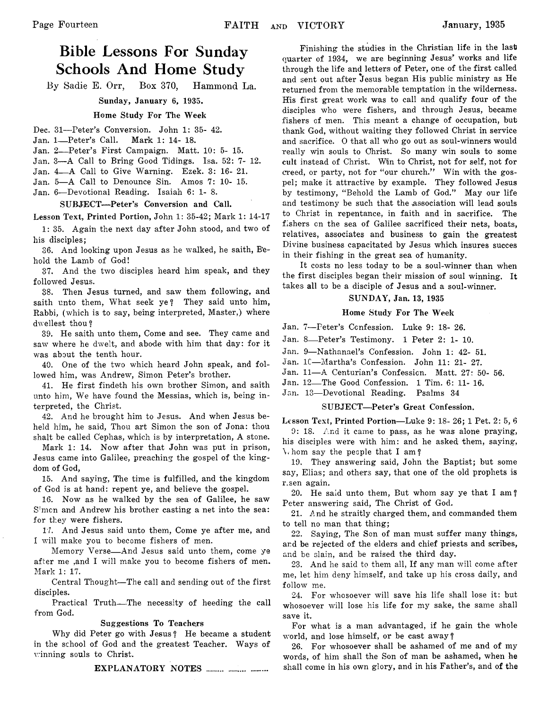## **Bible Lessons For Sunday Schools And Home Study**

By Sadie E. Orr, Box 370, Hammond La.

Sunday, January 6, 1935.

#### Home Study For The Week

Dec. 31—Peter's Conversion. John 1: 35- 42.

- Jan. 1— Peter's Call. Mark 1: 14- 18.
- Jan. 2— Peter's First Campaign. Matt. 10: 5- 15.
- Jan. 3—A Call to Bring Good Tidings. Isa. 52: 7- 12.
- Jan. 4— A Call to Give Warning. Ezek. 3: 16- 21.
- Jan. 5—A Call to Denounce Sin. Amos 7: 10- 15.
- Jan. 6—Devotional Reading. Isaiah 6: 1- 8.

#### SUBJECT—Peter's Conversion and Call.

Lesson Text, Printed Portion, John 1: 35-42; Mark 1: 14-17

1: 35. Again the next day after John stood, and two of his disciples;

36. And looking upon Jesus as he walked, he saith, Behold the Lamb of God!

37. And the two disciples heard him speak, and they followed Jesus.

38. Then Jesus turned, and saw them following, and saith unto them, What seek ye? They said unto him, Rabbi, (which is to say, being interpreted, Master,) where dwellest thou?

39. He saith unto them, Come and see. They came and saw where he dwelt, and abode with him that day: for it was about the tenth hour.

40. One of the two which heard John speak, and followed him, was Andrew, Simon Peter's brother.

41. He first findeth his own brother Simon, and saith unto him, We have found the Messias, which is, being interpreted, the Christ.

42. And he brought him to Jesus. And when Jesus beheld him, he said, Thou art Simon the son of Jona: thou shalt be called Cephas, which is by interpretation, A stone.

Mark 1: 14. Now after that John was put in prison, Jesus came into Galilee, preaching the gospel of the kingdom of God,

15. And saying, The time is fulfilled, and the kingdom of God is at hand: repent ye, and believe the gospel.

16. Now as he walked by the sea of Galilee, he saw Simon and Andrew his brother casting a net into the sea: for they were fishers.

17. And Jesus said unto them, Come ye after me, and 1 will make you to become fishers of men.

Memory Verse— And Jesus said unto them, come ye after me ,and I will make you to become fishers of men. Mark 1: 17.

Central Thought—The call and sending out of the first disciples.

Practical Truth— The necessity of heeding the call from God.

#### Suggestions To Teachers

Why did Peter go with Jesus ? He became a student in the school of God and the greatest Teacher. Ways of winning souls to Christ.

EXPLANATORY NOTES ..........................

Finishing the studies in the Christian life in the last quarter of 1934, we are beginning Jesus' works and life through the life and letters of Peter, one of the first called and sent out after Jesus, began His public ministry as He returned from the memorable temptation in the wilderness. His first great work was to call and qualify four of the disciples who were fishers, and through Jesus, became fishers of men. This meant a change of occupation, but thank God, without waiting they followed Christ in service and sacrifice. O that all who go out as soul-winners would really win souls to Christ. So many win souls to some cult instead of Christ. Win to Christ, not for self, not for creed, or party, not for "our church." Win with the gospel; make it attractive by example. They followed Jesus by testimony, "Behold the Lamb of God." May our life and testimony be such that the association will lead souls to Christ in repentance, in faith and in sacrifice. The fishers on the sea of Galilee sacrificed their nets, boats, relatives, associates and business to gain the greatest Divine business capacitated by Jesus which insures succes in their fishing in the great sea of humanity.

It costs no less today to be a soul-winner than when the first disciples began their mission of soul winning. It takes all to be a disciple of Jesus and a soul-winner.

#### SUNDAY, Jan. 13, 1935

#### Home Study For The Week

Jan. 7—Peter's Confession. Luke 9: 18- 26.

- Jan. 8— Peter's Testimony. 1 Peter 2: 1- 10.
- Jan. 9—Nathanael's Confession. John 1: 42- 51.
- Jan. 1C—Martha's Confession. John 11: 21- 27.
- Jan. 11—A Centurian's Confession. Matt. 27: 50- 56.
- Jan. 12— The Good Confession. 1 Tim. 6: 11- 16.
- Jan. 13—Devotional Reading. Psalms 34

#### SUBJECT—Peter's Great Confession,

Lesson Text, Printed Portion—Luke 9: 18- 26; 1 Pet. 2: 5, 6

9: 18. And it came to pass, as he was alone praying, his disciples were with him: and he asked them, saying,  $\sqrt{v}$  hom say the people that I am?

19. They answering said, John the Baptist; but some say, Elias; and others say, that one of the old prophets is r.sen again.

20. He said unto them, But whom say ye that I am ? Peter answering said, The Christ of God.

21. And he straitly charged them, and commanded them to tell no man that thing;

22. Saying, The Son of man must suffer many things, and be rejected of the elders and chief priests and scribes, and be slain, and be raised the third day.

23. And he said to them all, If any man will come after me, let him deny himself, and take up his cross daily, and follow me.

24. For whosoever will save his life shall lose it: but whosoever will lose his life for my sake, the same shall save it.

For what is a man advantaged, if he gain the whole world, and lose himself, or be cast away?

26. For whosoever shall be ashamed of me and of my words, of him shall the Son of man be ashamed, when he shall come in his own glory, and in his Father's, and of the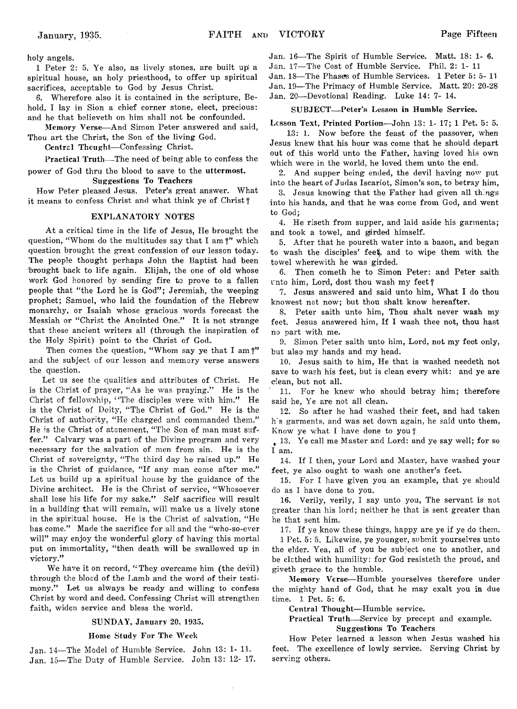holy angels.

1 Peter 2: 5. Ye also, as lively stones, are built up) a spiritual house, an holy priesthood, to offer up spiritual sacrifices, acceptable to God by Jesus Christ.

6. Wherefore also it is contained in the scripture, Behold, I lay in Sion a chief corner stone, elect, precious: and he that believeth on him shall not be confounded.

Memory Verse—And Simon Peter answered and said, Thou art the Christ, the Son of the living God.

Central Theught-Confessing Christ.

Practical Truth— The need of being able to confess the power of God thru the blood to save to the uttermost.

Suggestions To Teachers

How Peter pleased Jesus. Peter's great answer. What it means to confess Christ and what think ye of Christ ?

#### EXPLANATORY NOTES

At a critical time in the life of Jesus, He brought the question, "Whom do the multitudes say that I am?" which question brought the great confession of our lesson today. The people thought perhaps John the Baptist had been brought back to life again. Elijah, the one of old whose work God honored by sending' fire *to* prove to a fallen people that "the Lord he is God"; Jeremiah, the weeping prophet; Samuel, who laid the foundation of the Hebrew monarchy, or Isaiah whose gracious words forecast the Messiah or "Christ the Anointed One." It is not strange that these ancient writers all (through the inspiration of the Holy Spirit) point to the Christ of God-

Then comes the question, "Whom say ye that I am?" and the subject of our lesson and memory verse answers the question.

Let us see the qualities and attributes of Christ. He is the Christ of prayer, " As he was praying." He is the Christ of fellowship, "The disciples were with him." He is the Christ of Deity, "The Christ of God." He is the Christ of authority, "He charged and commanded them." He is the Christ of atonement, " The Son of man must suffer." Calvary was a part of the Divine program and very necessary for the salvation of men from sin. He is the Christ of sovereignty, "The third day he raised up." He is the Christ of guidance, "If any man come after me." Let us build up a spiritual house by the guidance of the Divine architect. He is the Christ of service, " Whosoever shall lose his life for my sake." Self sacrifice will result in a building that will remain, will make us a lively stone in the spiritual house. He is the Christ of salvation, " He has come." Made the sacrifice for all and the "who-so-ever will" may enjoy the wonderful glory of having this mortal put on immortality, "then death will be swallowed up in victory."

We have it on record, "They overcame him (the devil) through the blocd of the Lamb and the word of their testimony." Let us always be ready and willing to confess Christ by word and deed. Confessing Christ will strengthen faith, widen service and bless the world.

#### SUNDAY, January 20, 1935.

#### Home Study For The Week

Jan. 14—The Model of Humble Service. John 13: 1- 11. Jan. 15—The Duty of Humble Service. John 13: 12- 17. Jan. 16—The Spirit of Humble Service. Matt. 18: 1- 6.

Jan. 17—The Cost of Humble Service. Phil. 2: 1-11

Jan. 18—The Phases of Humble Services. 1 Peter 5: 5- 11

Jan. 19—The Primacy of Humble Service. Matt. 20: 20-28

Jan. 20—Devotional Reading. Luke 14: 7- 14.

#### SUBJECT— Peter's Lesson in Humble Service.

Lesson Text, Printed Portion—John 13: 1- 17; 1 Pet. 5: 5.

13: 1. Now before the feast of the passover, when Jesus knew that his hour was come that he should depart out of this world unto the Father, having loved his own which were in the world, he loved them unto the end.

2. And supper being ended, the devil having now put into the heart of Judas Iscariot, Simon's son, to betray him,

3. Jesus knowing that the Father had given all things into his hands, and that he was come from God, and went to God;

4. He riseth from supper, and laid aside his garments; and took a towel, and girded himself.

5. After that he poureth water into a bason, and began to wash the disciples' feet, and to wipe them with the towel wherewith he was girded.

6. Then cometh he to Simon Peter: and Peter saith unto him, Lord, dost thou wash my feet?

7. Jesus answered and said unto him, What I do thou knowest not now; but thou shalt know hereafter.

8. Peter saith unto him, Thou shalt never wash my feet. Jesus answered him, If I wash thee not, thou hast no part with me.

9. Simon Peter saith unto him, Lord, not my feet only, but also my hands and my head.

10. Jesus saith to him, He that is washed needeth not save to wash his feet, but is clean every whit: and ye are clean, but not all.

11. For he knew who should betray him; therefore said he, Ye are not all clean.

12. So after he had washed their feet, and had taken h's garments, and was set down again, he said unto them, Know ye what I have done to you?

*9* 13. Ye call me Master and Lord: and ye say well; for so I am.

14. If I then, your Lord and Master, have washed your feet, ye also ought to wash one another's feet.

15. For I have given you an example, that ye should do as I have done to you.

16. Verily, verily, I say unto you, The servant is not greater than his lord; neither he that is sent greater than he that sent him.

17. If ye know these things, happy are ye if ye do them.

1 Pet. 5: 5. Likewise, ye younger, submit yourselves unto the elder. Yea, all of you be subject one to another, and be clothed with humility: for God resisteth the proud, and giveth grace to the humble.

Memory Verse—Humble yourselves therefore under the mighty hand of God, that he may exalt you in due time. 1 Pet. 5: 6.

Central Thought—Humble service.

Practical Truth— Service by precept and example. Suggestions To Teachers

How Peter learned a lesson when Jesus washed his feet. The excellence of lowly service. Serving Christ by serving others.